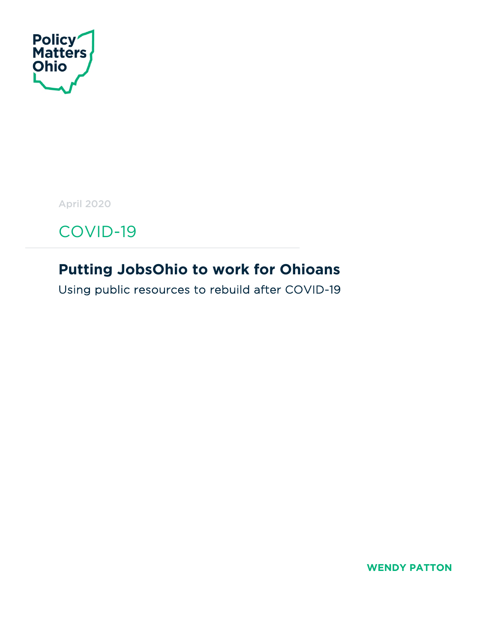

April 2020

COVID-19

# **Putting JobsOhio to work for Ohioans**

Using public resources to rebuild after COVID-19

**WENDY PATTON**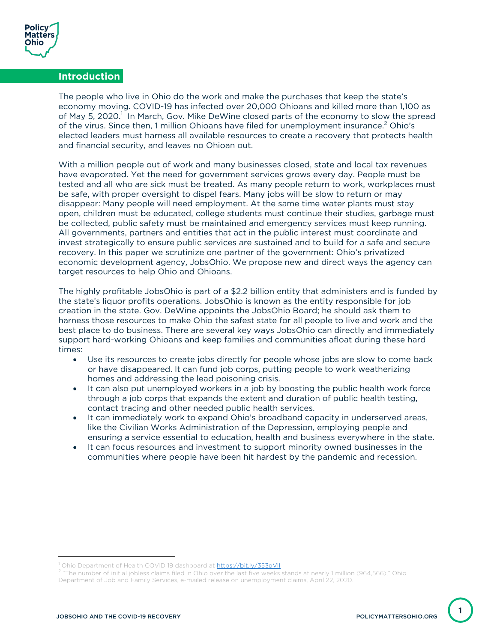

### **Introduction**

The people who live in Ohio do the work and make the purchases that keep the state's economy moving. COVID-19 has infected over 20,000 Ohioans and killed more than 1,100 as of May 5, 2020.<sup>1</sup> In March, Gov. Mike DeWine closed parts of the economy to slow the spread of the virus. Since then, 1 million Ohioans have filed for unemployment insurance.<sup>2</sup> Ohio's elected leaders must harness all available resources to create a recovery that protects health and financial security, and leaves no Ohioan out.

With a million people out of work and many businesses closed, state and local tax revenues have evaporated. Yet the need for government services grows every day. People must be tested and all who are sick must be treated. As many people return to work, workplaces must be safe, with proper oversight to dispel fears. Many jobs will be slow to return or may disappear: Many people will need employment. At the same time water plants must stay open, children must be educated, college students must continue their studies, garbage must be collected, public safety must be maintained and emergency services must keep running. All governments, partners and entities that act in the public interest must coordinate and invest strategically to ensure public services are sustained and to build for a safe and secure recovery. In this paper we scrutinize one partner of the government: Ohio's privatized economic development agency, JobsOhio. We propose new and direct ways the agency can target resources to help Ohio and Ohioans.

The highly profitable JobsOhio is part of a \$2.2 billion entity that administers and is funded by the state's liquor profits operations. JobsOhio is known as the entity responsible for job creation in the state. Gov. DeWine appoints the JobsOhio Board; he should ask them to harness those resources to make Ohio the safest state for all people to live and work and the best place to do business. There are several key ways JobsOhio can directly and immediately support hard-working Ohioans and keep families and communities afloat during these hard times:

- Use its resources to create jobs directly for people whose jobs are slow to come back or have disappeared. It can fund job corps, putting people to work weatherizing homes and addressing the lead poisoning crisis.
- It can also put unemployed workers in a job by boosting the public health work force through a job corps that expands the extent and duration of public health testing, contact tracing and other needed public health services.
- It can immediately work to expand Ohio's broadband capacity in underserved areas, like the Civilian Works Administration of the Depression, employing people and ensuring a service essential to education, health and business everywhere in the state.
- It can focus resources and investment to support minority owned businesses in the communities where people have been hit hardest by the pandemic and recession.

**1**

Ohio Department of Health COVID 19 dashboard at https://bit.ly/353qVll

 $2$  "The number of initial jobless claims filed in Ohio over the last five weeks stands at nearly 1 million (964,566)," Ohio Department of Job and Family Services, e-mailed release on unemployment claims, April 22, 2020.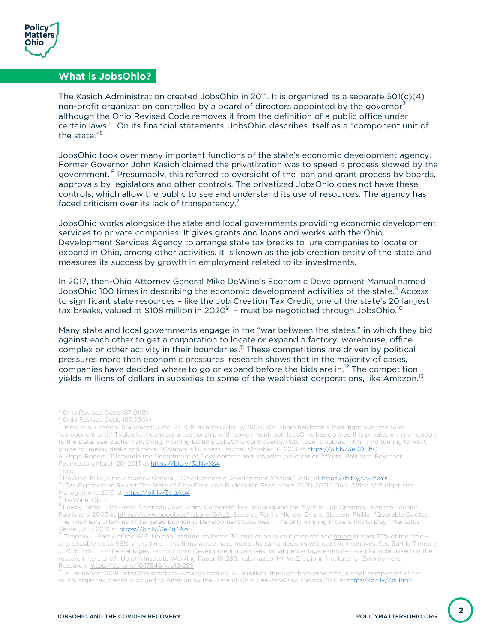

Ī

## **What is JobsOhio?**

The Kasich Administration created JobsOhio in 2011. It is organized as a separate 501(c)(4) non-profit organization controlled by a board of directors appointed by the governor<sup>3</sup> although the Ohio Revised Code removes it from the definition of a public office under certain laws.<sup>4</sup> On its financial statements, JobsOhio describes itself as a "component unit of the state."<sup>5</sup>

JobsOhio took over many important functions of the state's economic development agency. Former Governor John Kasich claimed the privatization was to speed a process slowed by the government. <sup>6</sup> Presumably, this referred to oversight of the loan and grant process by boards, approvals by legislators and other controls. The privatized JobsOhio does not have these controls, which allow the public to see and understand its use of resources. The agency has faced criticism over its lack of transparency.<sup>7</sup>

JobsOhio works alongside the state and local governments providing economic development services to private companies. It gives grants and loans and works with the Ohio Development Services Agency to arrange state tax breaks to lure companies to locate or expand in Ohio, among other activities. It is known as the job creation entity of the state and measures its success by growth in employment related to its investments.

In 2017, then-Ohio Attorney General Mike DeWine's Economic Development Manual named JobsOhio 100 times in describing the economic development activities of the state.<sup>8</sup> Access to significant state resources – like the Job Creation Tax Credit, one of the state's 20 largest tax breaks, valued at \$108 million in 2020 $^{\circ}$  – must be negotiated through JobsOhio. $^{\text{10}}$ 

Many state and local governments engage in the "war between the states," in which they bid against each other to get a corporation to locate or expand a factory, warehouse, office complex or other activity in their boundaries.<sup>11</sup> These competitions are driven by political pressures more than economic pressures; research shows that in the majority of cases, companies have decided where to go or expand before the bids are in.<sup>12</sup> The competition yields millions of dollars in subsidies to some of the wealthiest corporations, like Amazon.<sup>13</sup>

<sup>&</sup>lt;sup>3</sup> Ohio Revised Code 187.01(B)<br><sup>4</sup> Ohio Revised Code 187.03(A)<br><sup>5</sup> JobsOhio Financial Statement, June 30 2019 at <u>https://bit.ly/2S6HOXn</u>. There has been a legal fight over the term "component unit." Typically, it conveys a relationship with government, but JobsOhio has claimed it is private, with no relation to the state. See Buchannan, Doug, Morning Edition: JobsOhio controversy, Patch.com troubles, Fifth Third turning to AEP, praise for messy desks and more," Columbus Business Journal, October 16, 2013 at https://bit.ly/3eRDHbC 6 Higgs, Robert, "Dismantle the Department of Development and privatize job-creation efforts,"Politifact, Poyntner<br>Foundation, March 20, 2013 at https://bit.ly/3aNwXs4

<sup>&</sup>lt;sup>7</sup> Ibid.<br><sup>8</sup> DeWine, Mike, Ohio Attorney General, "Ohio Economic Development Manual," 2017, at <u>https://bit.ly/2yJhxYs</u>

<sup>9 &</sup>quot;Tax Expenditure Report The State of Ohio Executive Budget for Fiscal Years 2020-2021," Ohio Office of Budget and Management, 2019 at https://bit.ly/3claAp4

<sup>&</sup>lt;sup>10</sup> DeWine, Op. Cit.<br><sup>11</sup> LeRoy, Greg, "The Great American Jobs Scam, Corporate Tax Dodging and the Myth of Job Creation," Berrett-Koehler Publishers, 2005 at https://www.goodjobsfirst.org/GAJS; See also Ferrin, Michael D. and St, Jean, Phillip, "Quotable Quotes: The Prisoner's Dilemma of Targeted Economic Development Subsidies - The only winning move is not to play," Mercatus<br>Center, July 2019 at https://bit.ly/3ePq4Ao

Center, July 2019 at the W.E. Upjohn Institute reviewed 30 studies on such incentives and <u>found</u> at least 75% of the time – and possibly up to 98% of the time – the firms would have made the same decision without the incentives. See Bartik, Timothy J. 2018. "'But For' Percentages for Economic Development Incentives: What percentage estimates are plausible based on the research literature?" Upjohn Institute Working Paper 18-289. Kalamazoo, MI: W.E. Upjohn Institute for Employment Research. https://doi.org/10.17848/wp18-289

<sup>&</sup>lt;sup>13</sup> In January of 2018 JobsOhio grants to Amazon totaled \$15.9 million, through three programs, a small component of the much larger tax breaks provided to Amazon by the State of Ohio. See JobsOhio Metrics 2018 at https://bit.ly/3cL8rsY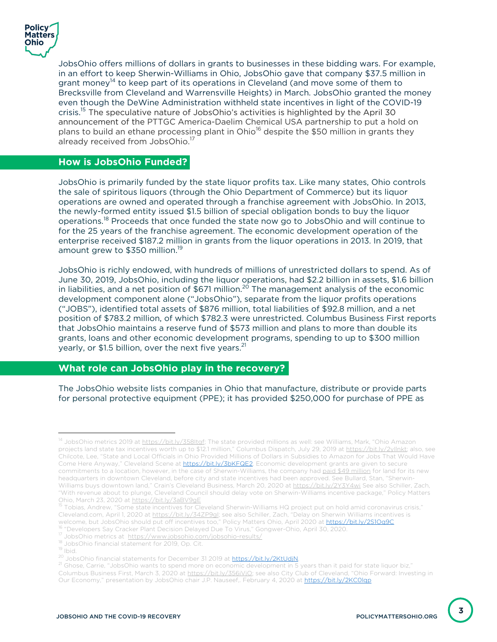

Ϊ

 $\overline{a}$ 

Ī

JobsOhio offers millions of dollars in grants to businesses in these bidding wars. For example, in an effort to keep Sherwin-Williams in Ohio, JobsOhio gave that company \$37.5 million in grant money<sup>14</sup> to keep part of its operations in Cleveland (and move some of them to Brecksville from Cleveland and Warrensville Heights) in March. JobsOhio granted the money even though the DeWine Administration withheld state incentives in light of the COVID-19 crisis.15 The speculative nature of JobsOhio's activities is highlighted by the April 30 announcement of the PTTGC America-Daelim Chemical USA partnership to put a hold on plans to build an ethane processing plant in Ohio<sup>16</sup> despite the \$50 million in grants they already received from JobsOhio.<sup>17</sup>

#### **How is JobsOhio Funded?**

JobsOhio is primarily funded by the state liquor profits tax. Like many states, Ohio controls the sale of spiritous liquors (through the Ohio Department of Commerce) but its liquor operations are owned and operated through a franchise agreement with JobsOhio. In 2013, the newly-formed entity issued \$1.5 billion of special obligation bonds to buy the liquor operations.<sup>18</sup> Proceeds that once funded the state now go to JobsOhio and will continue to for the 25 years of the franchise agreement. The economic development operation of the enterprise received \$187.2 million in grants from the liquor operations in 2013. In 2019, that amount grew to \$350 million.<sup>19</sup>

JobsOhio is richly endowed, with hundreds of millions of unrestricted dollars to spend. As of June 30, 2019, JobsOhio, including the liquor operations, had \$2.2 billion in assets, \$1.6 billion in liabilities, and a net position of  $$671$  million.<sup>20</sup> The management analysis of the economic development component alone ("JobsOhio"), separate from the liquor profits operations ("JOBS"), identified total assets of \$876 million, total liabilities of \$92.8 million, and a net position of \$783.2 million, of which \$782.3 were unrestricted. Columbus Business First reports that JobsOhio maintains a reserve fund of \$573 million and plans to more than double its grants, loans and other economic development programs, spending to up to \$300 million yearly, or \$1.5 billion, over the next five years.<sup>21</sup>

### **What role can JobsOhio play in the recovery?**

The JobsOhio website lists companies in Ohio that manufacture, distribute or provide parts for personal protective equipment (PPE); it has provided \$250,000 for purchase of PPE as

<sup>&</sup>lt;sup>14</sup> JobsOhio metrics 2019 at https://bit.ly/358Itgf; The state provided millions as well: see Williams, Mark, "Ohio Amazon projects land state tax incentives worth up to \$12.1 million," Columbus Dispatch, July 29, 2019 at https://bit.ly/2yIlnkt; also, see Chilcote, Lee, "State and Local Officials in Ohio Provided Millions of Dollars in Subsidies to Amazon for Jobs That Would Have Come Here Anyway," Cleveland Scene at https://bit.ly/3bKFQE2. Economic development grants are given to secure commitments to a location, however, in the case of Sherwin-Williams, the company had paid \$49 million for land for its new headquarters in downtown Cleveland, before city and state incentives had been approved. See Bullard, Stan, "Sherwin-Williams buys downtown land," Crain's Cleveland Business, March 20, 2020 at https://bit.ly/2Y3Y4wi See also Schiller, Zach, "With revenue about to plunge, Cleveland Council should delay vote on Sherwin-Williams incentive package," Policy Matters Ohio, March 23, 2020 at https://bit.ly/3aBV9gE<br><sup>15</sup> Tobias, Andrew, "Some state incentives for Cleveland Sherwin-Williams HQ project put on hold amid coronavirus crisis,"

Cleveland.com, April 1, 2020 at https://bit.ly/34ZP9gI; see also Schiller, Zach, "Delay on Sherwin Williams incentives is welcome, but JobsOhio should put off incentives too," Policy Matters Ohio, April 2020 at https://bit.ly/2S1Oq9C

<sup>&</sup>lt;sup>16</sup> "Developers Say Cracker Plant Decision Delayed Due To Virus," Gongwer-Ohio, April 30, 2020.<br><sup>17</sup> JobsOhio metrics at <u>https://www.jobsohio.com/jobsohio-results/</u>

<sup>18</sup> JobsOhio financial statement for 2019, Op. Cit.<br>
<sup>19</sup> Ibid.<br>
<sup>20</sup> JobsOhio financial statements for December 31 2019 at https://bit.ly/2KtUdiN.

<sup>&</sup>lt;sup>21</sup> Ghose, Carrie, "JobsOhio wants to spend more on economic development in 5 years than it paid for state liquor biz," Columbus Business First, March 3, 2020 at https://bit.ly/356iVjQ; see also City Club of Cleveland, "Ohio Forward: Investing in Our Economy," presentation by JobsOhio chair J.P. Nauseef,. February 4, 2020 at https://bit.ly/2KC0lqp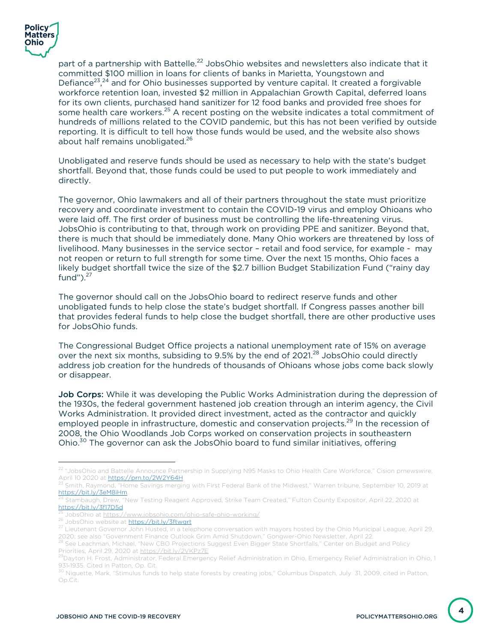

part of a partnership with Battelle.<sup>22</sup> JobsOhio websites and newsletters also indicate that it committed \$100 million in loans for clients of banks in Marietta, Youngstown and Defiance<sup>23</sup>,<sup>24</sup> and for Ohio businesses supported by venture capital. It created a forgivable workforce retention loan, invested \$2 million in Appalachian Growth Capital, deferred loans for its own clients, purchased hand sanitizer for 12 food banks and provided free shoes for some health care workers.<sup>25</sup> A recent posting on the website indicates a total commitment of hundreds of millions related to the COVID pandemic, but this has not been verified by outside reporting. It is difficult to tell how those funds would be used, and the website also shows about half remains unobligated. 26

Unobligated and reserve funds should be used as necessary to help with the state's budget shortfall. Beyond that, those funds could be used to put people to work immediately and directly.

The governor, Ohio lawmakers and all of their partners throughout the state must prioritize recovery and coordinate investment to contain the COVID-19 virus and employ Ohioans who were laid off. The first order of business must be controlling the life-threatening virus. JobsOhio is contributing to that, through work on providing PPE and sanitizer. Beyond that, there is much that should be immediately done. Many Ohio workers are threatened by loss of livelihood. Many businesses in the service sector – retail and food service, for example - may not reopen or return to full strength for some time. Over the next 15 months, Ohio faces a likely budget shortfall twice the size of the \$2.7 billion Budget Stabilization Fund ("rainy day fund" $)^2$ <sup>27</sup>

The governor should call on the JobsOhio board to redirect reserve funds and other unobligated funds to help close the state's budget shortfall. If Congress passes another bill that provides federal funds to help close the budget shortfall, there are other productive uses for JobsOhio funds.

The Congressional Budget Office projects a national unemployment rate of 15% on average over the next six months, subsiding to 9.5% by the end of 2021.<sup>28</sup> JobsOhio could directly address job creation for the hundreds of thousands of Ohioans whose jobs come back slowly or disappear.

Job Corps: While it was developing the Public Works Administration during the depression of the 1930s, the federal government hastened job creation through an interim agency, the Civil Works Administration. It provided direct investment, acted as the contractor and quickly employed people in infrastructure, domestic and conservation projects.<sup>29</sup> In the recession of 2008, the Ohio Woodlands Job Corps worked on conservation projects in southeastern Ohio.<sup>30</sup> The governor can ask the JobsOhio board to fund similar initiatives, offering

<sup>&</sup>lt;sup>22</sup> "JobsOhio and Battelle Announce Partnership in Supplying N95 Masks to Ohio Health Care Workforce," Cision prnewswire,<br>April 10 2020 at https://prn.to/2W2Y64H

Smith, Raymond, "Home Savings merging with First Federal Bank of the Midwest," Warren tribune, September 10, 2019 at https://bit.ly/3eM8iHm

<sup>24</sup> Stambaugh, Drew, "New Testing Reagent Approved, Strike Team Created," Fulton County Expositor, April 22, 2020 at https://bit.ly/3f17D5d

<sup>&</sup>lt;sup>23</sup> JobsOhio at <u>https://www.jobsohio.com/ohio-safe-ohio-working/</u><br><sup>26</sup> JobsOhio website at https://bit.ly/3ftwgrt<br><sup>27</sup> Lieutenant Governor John Husted, in a telephone conversation with mayors hosted by the Ohio Municipal

<sup>2020;</sup> see also "Government Finance Outlook Grim Amid Shutdown," Gongwer-Ohio Newsletter, April 22. 28 See Leachman, Michael, "New CBO Projections Suggest Even Bigger State Shortfalls," Center on Budget and Policy

Priorities, April 29, 2020 at <u>https://bit.ly/2VKPz7E</u><br><sup>29</sup>Dayton H. Frost, Administrator, Federal Emergency Relief Administration in Ohio, Emergency Relief Administration in Ohio, 1

<sup>931-1935.</sup> Cited in Patton, Op. Cit.<br><sup>30</sup> Niquette, Mark, "Stimulus funds to help state forests by creating jobs," Columbus Dispatch, July 31, 2009, cited in Patton, Op.Cit.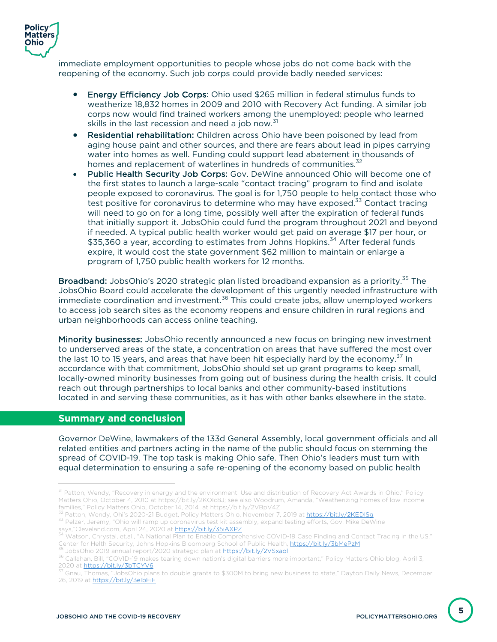

immediate employment opportunities to people whose jobs do not come back with the reopening of the economy. Such job corps could provide badly needed services:

- Energy Efficiency Job Corps: Ohio used \$265 million in federal stimulus funds to weatherize 18,832 homes in 2009 and 2010 with Recovery Act funding. A similar job corps now would find trained workers among the unemployed: people who learned skills in the last recession and need a job now.<sup>31</sup>
- Residential rehabilitation: Children across Ohio have been poisoned by lead from aging house paint and other sources, and there are fears about lead in pipes carrying water into homes as well. Funding could support lead abatement in thousands of homes and replacement of waterlines in hundreds of communities.<sup>32</sup>
- Public Health Security Job Corps: Gov. DeWine announced Ohio will become one of the first states to launch a large-scale "contact tracing" program to find and isolate people exposed to coronavirus. The goal is for 1,750 people to help contact those who test positive for coronavirus to determine who may have exposed.<sup>33</sup> Contact tracing will need to go on for a long time, possibly well after the expiration of federal funds that initially support it. JobsOhio could fund the program throughout 2021 and beyond if needed. A typical public health worker would get paid on average \$17 per hour, or \$35,360 a year, according to estimates from Johns Hopkins.<sup>34</sup> After federal funds expire, it would cost the state government \$62 million to maintain or enlarge a program of 1,750 public health workers for 12 months.

Broadband: JobsOhio's 2020 strategic plan listed broadband expansion as a priority.<sup>35</sup> The JobsOhio Board could accelerate the development of this urgently needed infrastructure with immediate coordination and investment.<sup>36</sup> This could create jobs, allow unemployed workers to access job search sites as the economy reopens and ensure children in rural regions and urban neighborhoods can access online teaching.

Minority businesses: JobsOhio recently announced a new focus on bringing new investment to underserved areas of the state, a concentration on areas that have suffered the most over the last 10 to 15 years, and areas that have been hit especially hard by the economy. $37$  In accordance with that commitment, JobsOhio should set up grant programs to keep small, locally-owned minority businesses from going out of business during the health crisis. It could reach out through partnerships to local banks and other community-based institutions located in and serving these communities, as it has with other banks elsewhere in the state.

#### **Summary and conclusion**

 $\overline{\phantom{a}}$ 

Governor DeWine, lawmakers of the 133d General Assembly, local government officials and all related entities and partners acting in the name of the public should focus on stemming the spread of COVID-19. The top task is making Ohio safe. Then Ohio's leaders must turn with equal determination to ensuring a safe re-opening of the economy based on public health

**5**

<sup>&</sup>lt;sup>31</sup> Patton, Wendy, "Recovery in energy and the environment: Use and distribution of Recovery Act Awards in Ohio," Policy Matters Ohio, October 4, 2010 at https://bit.ly/2KOIc8J; see also Woodrum, Amanda, "Weatherizing homes of low income families," Policy Matters Ohio, October 14, 2014 at <u>https://bit.ly/2VBpV4Z</u><br><sup>32</sup> Patton, Wendy, Ohi's 2020-21 Budget, Policy Matters Ohio, November 7, 2019 at <mark>https://bit.ly/2KEDISq</mark>

<sup>33</sup> Pelzer, Jeremy, "Ohio will ramp up coronavirus test kit assembly, expand testing efforts, Gov. Mike DeWine<br>says, "Cleveland.com, April 24, 2020 at https://bit.ly/35iAXPZ

<sup>&</sup>lt;sup>34</sup> Watson, Chrystal, et.al., "A National Plan to Enable Comprehensive COVID-19 Case Finding and Contact Tracing in the US,"<br>Center for Helth Security, Johns Hopkins Bloomberg School of Public Health, **https://bit.ly/3bMe** JobsOhio 2019 annual report/2020 strategic plan at https://bit.ly/2VSxaol

<sup>36</sup> Callahan, Bill, "COVID-19 makes tearing down nation's digital barriers more important," Policy Matters Ohio blog, April 3, 2020 at https://bit.ly/3bTCYV6

<sup>37</sup> Gnau, Thomas, "JobsOhio plans to double grants to \$300M to bring new business to state," Dayton Daily News, December 26, 2019 at https://bit.ly/3elbFiF